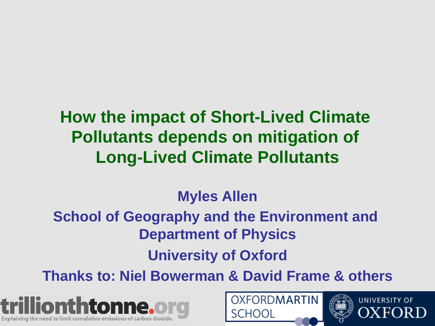# **How the impact of Short-Lived Climate Pollutants depends on mitigation of Long-Lived Climate Pollutants**

#### **Myles Allen**

#### **School of Geography and the Environment and Department of Physics**

#### **University of Oxford**

**Thanks to: Niel Bowerman & David Frame & others** 





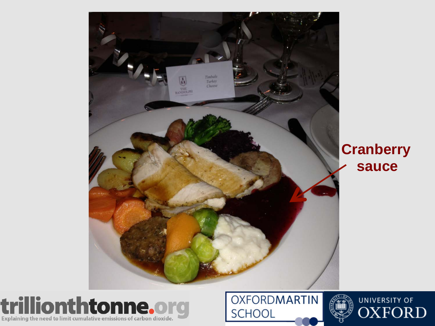

#### **Cranberry sauce**



**OXFORDMARTIN SCHOOL** 

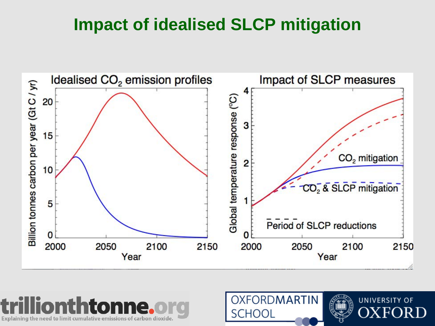## **Impact of idealised SLCP mitigation**





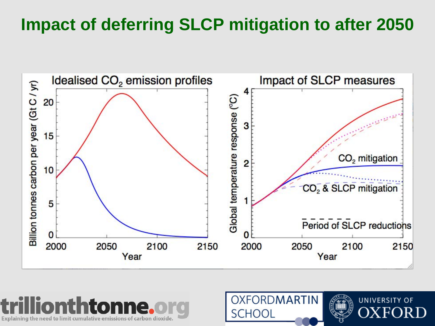# **Impact of deferring SLCP mitigation to after 2050**





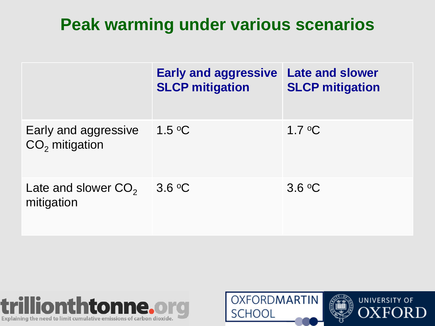# **Peak warming under various scenarios**

|                                          | <b>Early and aggressive</b><br><b>SLCP</b> mitigation | <b>Late and slower</b><br><b>SLCP mitigation</b> |
|------------------------------------------|-------------------------------------------------------|--------------------------------------------------|
| Early and aggressive<br>$CO2$ mitigation | $1.5 \text{ °C}$                                      | $1.7 \text{ }^{\circ}C$                          |
| Late and slower $CO2$<br>mitigation      | 3.6 °C                                                | 3.6 °C                                           |



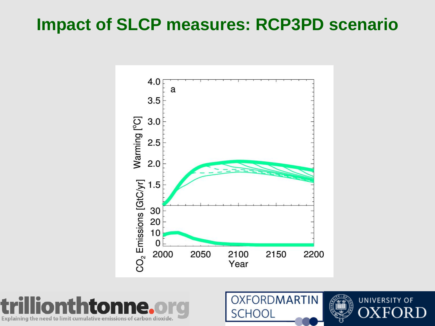## **Impact of SLCP measures: RCP3PD scenario**





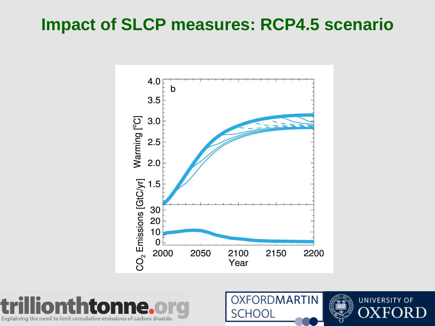### **Impact of SLCP measures: RCP4.5 scenario**





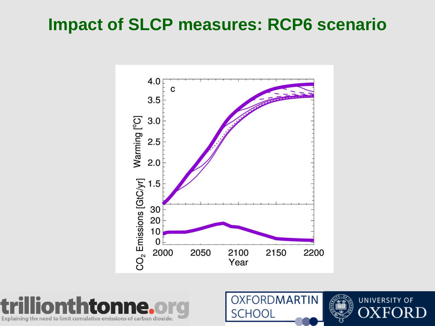### **Impact of SLCP measures: RCP6 scenario**





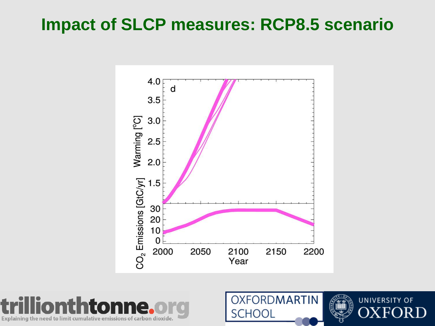### **Impact of SLCP measures: RCP8.5 scenario**





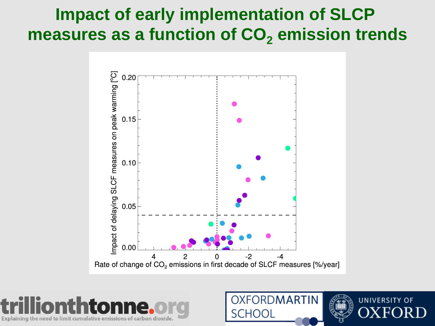## **Impact of early implementation of SLCP**  measures as a function of CO<sub>2</sub> emission trends





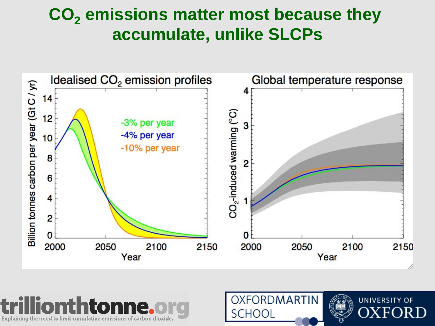## CO<sub>2</sub> emissions matter most because they **accumulate, unlike SLCPs**





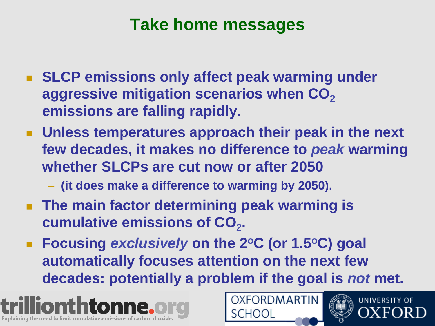## **Take home messages**

- **EXTER EMILE SECTE EMILE SECTE IS SECTED SECTED SECTED SECTED SECTED SECTED SECTED SECTED SECTED SECTED SECTED SECTED SECTED SECTED SECTED SECTED SECTED SECTED SECTED SECTED SECTED SECTED SECTED SECTED SECTED SECTED SECTED** aggressive mitigation scenarios when CO<sub>2</sub> **emissions are falling rapidly.**
- ! **Unless temperatures approach their peak in the next few decades, it makes no difference to** *peak* **warming whether SLCPs are cut now or after 2050** 
	- **(it does make a difference to warming by 2050).**
- **EXTE: The main factor determining peak warming is cumulative emissions of CO<sub>2</sub>.**
- ! **Focusing** *exclusively* **on the 2oC (or 1.5oC) goal automatically focuses attention on the next few decades: potentially a problem if the goal is** *not* **met.**





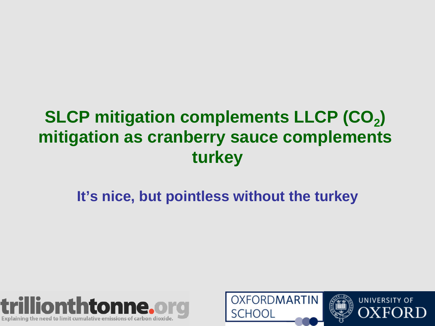# **SLCP mitigation complements LLCP (CO<sub>2</sub>) mitigation as cranberry sauce complements turkey**

#### **It's nice, but pointless without the turkey**